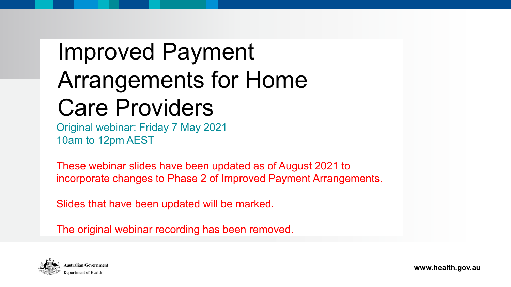# Improved Payment Arrangements for Home Care Providers

Original webinar: Friday 7 May 2021 10am to 12pm AEST

These webinar slides have been updated as of August 2021 to incorporate changes to Phase 2 of Improved Payment Arrangements.

Slides that have been updated will be marked.

The original webinar recording has been removed.



**www.health.gov.au**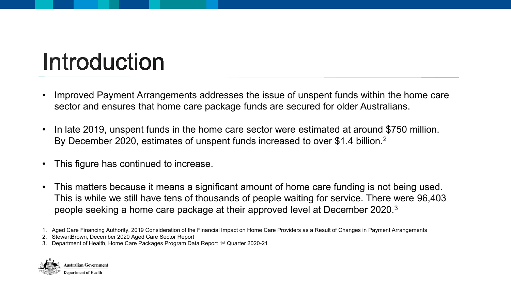# Introduction

- Improved Payment Arrangements addresses the issue of unspent funds within the home care sector and ensures that home care package funds are secured for older Australians.
- In late 2019, unspent funds in the home care sector were estimated at around \$750 million. By December 2020, estimates of unspent funds increased to over \$1.4 billion.<sup>2</sup>
- This figure has continued to increase.
- This matters because it means a significant amount of home care funding is not being used. This is while we still have tens of thousands of people waiting for service. There were 96,403 people seeking a home care package at their approved level at December 2020.3

2. StewartBrown, December 2020 Aged Care Sector Report

3. Department of Health, Home Care Packages Program Data Report 1st Quarter 2020-21



<sup>1.</sup> Aged Care Financing Authority, 2019 Consideration of the Financial Impact on Home Care Providers as a Result of Changes in Payment Arrangements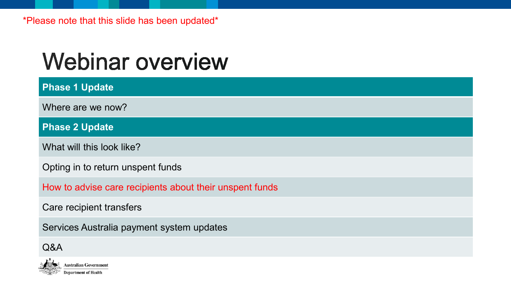# **Webinar overview**

**Phase 1 Update**  Where are we now? **Phase 2 Update**

What will this look like?

Opting in to return unspent funds

How to advise care recipients about their unspent funds

Care recipient transfers

Services Australia payment system updates

### Q&A

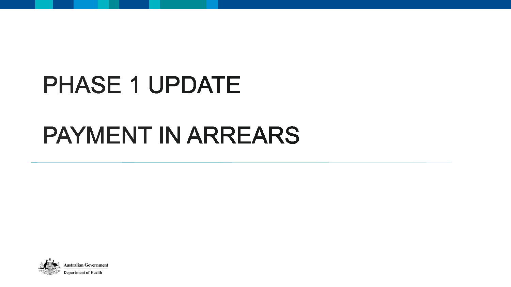# PHASE 1 UPDATE

## PAYMENT IN ARREARS

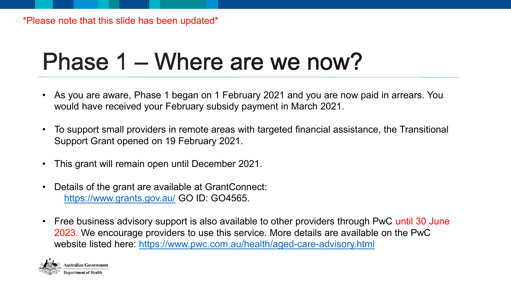# Phase 1 – Where are we now?

- As you are aware, Phase 1 began on 1 February 2021 and you are now paid in arrears. You would have received your February subsidy payment in March 2021.
- To support small providers in remote areas with targeted financial assistance, the Transitional Support Grant opened on 19 February 2021.
- This grant will remain open until December 2021.
- Details of the grant are available at GrantConnect: <https://www.grants.gov.au/> GO ID: GO4565.
- Free business advisory support is also available to other providers through PwC until 30 June 2023. We encourage providers to use this service. More details are available on the PwC website listed here: <https://www.pwc.com.au/health/aged-care-advisory.html>

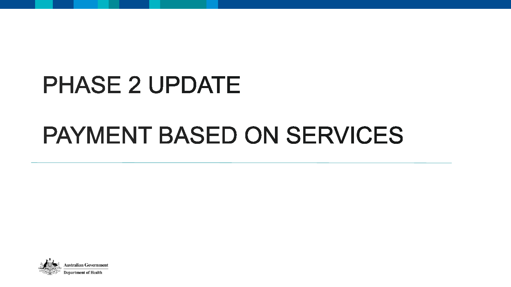# **PHASE 2 UPDATE**

# PAYMENT BASED ON SERVICES

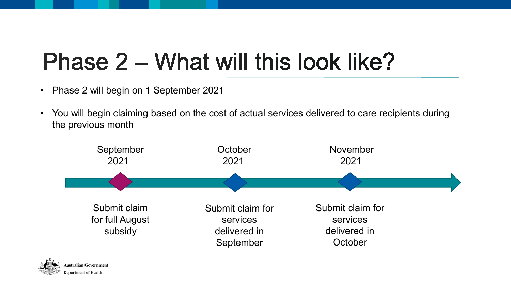# Phase 2 – What will this look like?

- Phase 2 will begin on 1 September 2021
- You will begin claiming based on the cost of actual services delivered to care recipients during the previous month



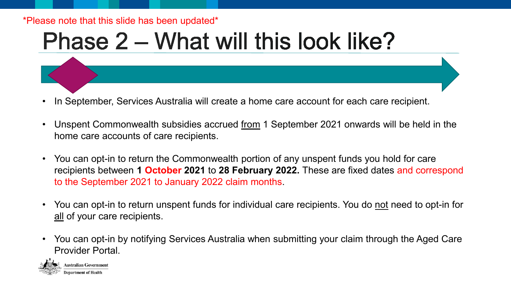#### \*Please note that this slide has been updated\*

# Phase 2 – What will this look like?

- In September, Services Australia will create a home care account for each care recipient.
- Unspent Commonwealth subsidies accrued from 1 September 2021 onwards will be held in the home care accounts of care recipients.
- You can opt-in to return the Commonwealth portion of any unspent funds you hold for care recipients between **1 October 2021** to **28 February 2022.** These are fixed dates and correspond to the September 2021 to January 2022 claim months.
- You can opt-in to return unspent funds for individual care recipients. You do not need to opt-in for all of your care recipients.
- You can opt-in by notifying Services Australia when submitting your claim through the Aged Care Provider Portal.

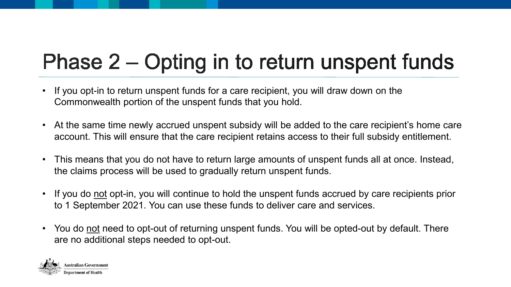### Phase 2 – Opting in to return unspent funds

- If you opt-in to return unspent funds for a care recipient, you will draw down on the Commonwealth portion of the unspent funds that you hold.
- At the same time newly accrued unspent subsidy will be added to the care recipient's home care account. This will ensure that the care recipient retains access to their full subsidy entitlement.
- This means that you do not have to return large amounts of unspent funds all at once. Instead, the claims process will be used to gradually return unspent funds.
- If you do not opt-in, you will continue to hold the unspent funds accrued by care recipients prior to 1 September 2021. You can use these funds to deliver care and services.
- You do not need to opt-out of returning unspent funds. You will be opted-out by default. There are no additional steps needed to opt-out.

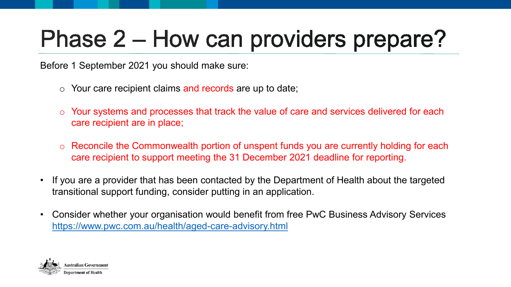# Phase 2 – How can providers prepare?

Before 1 September 2021 you should make sure:

- $\circ$  Your care recipient claims and records are up to date;
- o Your systems and processes that track the value of care and services delivered for each care recipient are in place;
- o Reconcile the Commonwealth portion of unspent funds you are currently holding for each care recipient to support meeting the 31 December 2021 deadline for reporting.
- If you are a provider that has been contacted by the Department of Health about the targeted transitional support funding, consider putting in an application.
- Consider whether your organisation would benefit from free PwC Business Advisory Services <https://www.pwc.com.au/health/aged-care-advisory.html>

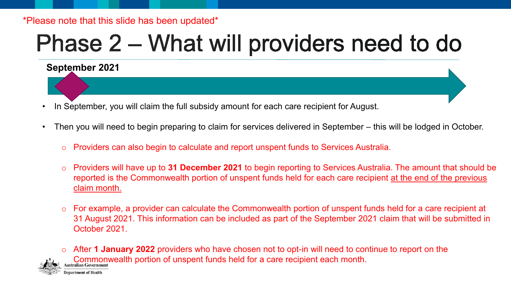#### \*Please note that this slide has been updated\*

**September 2021**

# Phase 2 – What will providers need to do

### In September, you will claim the full subsidy amount for each care recipient for August.

- Then you will need to begin preparing to claim for services delivered in September this will be lodged in October.
	- o Providers can also begin to calculate and report unspent funds to Services Australia.
	- o Providers will have up to **31 December 2021** to begin reporting to Services Australia. The amount that should be reported is the Commonwealth portion of unspent funds held for each care recipient at the end of the previous claim month.
	- o For example, a provider can calculate the Commonwealth portion of unspent funds held for a care recipient at 31 August 2021. This information can be included as part of the September 2021 claim that will be submitted in October 2021.

o After **1 January 2022** providers who have chosen not to opt-in will need to continue to report on the Commonwealth portion of unspent funds held for a care recipient each month.

partment of Health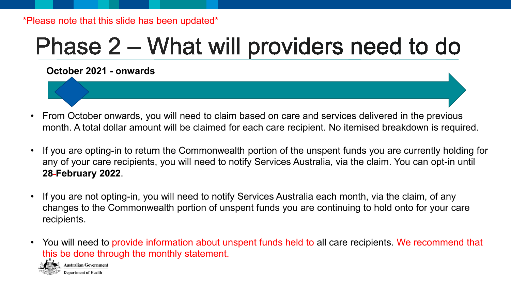#### \*Please note that this slide has been updated\*

# Phase 2 – What will providers need to do

**October 2021 - onwards**

- From October onwards, you will need to claim based on care and services delivered in the previous month. A total dollar amount will be claimed for each care recipient. No itemised breakdown is required.
- If you are opting-in to return the Commonwealth portion of the unspent funds you are currently holding for any of your care recipients, you will need to notify Services Australia, via the claim. You can opt-in until **28 February 2022**.
- If you are not opting-in, you will need to notify Services Australia each month, via the claim, of any changes to the Commonwealth portion of unspent funds you are continuing to hold onto for your care recipients.
- You will need to provide information about unspent funds held to all care recipients. We recommend that this be done through the monthly statement.

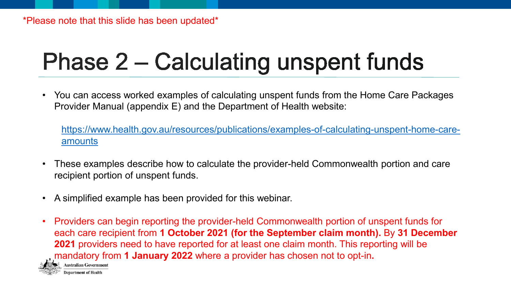# Phase 2 – Calculating unspent funds

• You can access worked examples of calculating unspent funds from the Home Care Packages Provider Manual (appendix E) and the Department of Health website:

[https://www.health.gov.au/resources/publications/examples-of-calculating-unspent-home-care](https://www.health.gov.au/resources/publications/examples-of-calculating-unspent-home-care-amounts)amounts

- These examples describe how to calculate the provider-held Commonwealth portion and care recipient portion of unspent funds.
- A simplified example has been provided for this webinar.
- Providers can begin reporting the provider-held Commonwealth portion of unspent funds for each care recipient from **1 October 2021 (for the September claim month).** By **31 December 2021** providers need to have reported for at least one claim month. This reporting will be mandatory from **1 January 2022** where a provider has chosen not to opt-in**. Australian Government** epartment of Health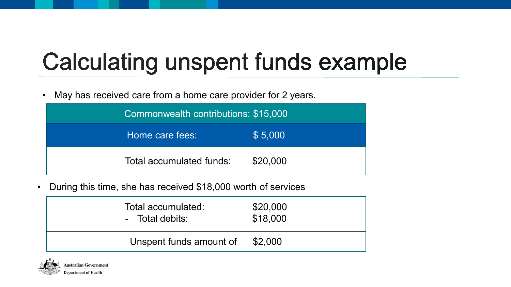# **Calculating unspent funds example**

• May has received care from a home care provider for 2 years.

| Commonwealth contributions: \$15,000 |          |  |
|--------------------------------------|----------|--|
| Home care fees:                      | \$5,000  |  |
| Total accumulated funds:             | \$20,000 |  |

• During this time, she has received \$18,000 worth of services

| Total accumulated:      | \$20,000 |
|-------------------------|----------|
| - Total debits:         | \$18,000 |
| Unspent funds amount of | \$2,000  |

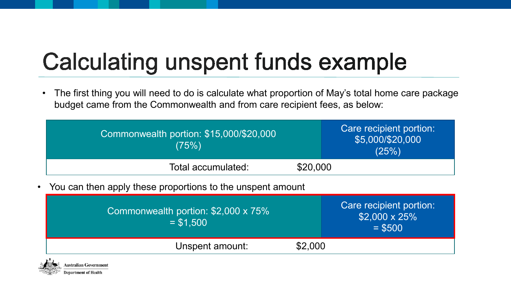# **Calculating unspent funds example**

• The first thing you will need to do is calculate what proportion of May's total home care package budget came from the Commonwealth and from care recipient fees, as below:

| Commonwealth portion: \$15,000/\$20,000<br>(75%) | Care recipient portion:<br>\$5,000/\$20,000<br>(25%) |
|--------------------------------------------------|------------------------------------------------------|
| Total accumulated:                               | \$20,000                                             |

• You can then apply these proportions to the unspent amount

| Commonwealth portion: \$2,000 x 75%<br>$= $1.500$ | Care recipient portion:<br>$$2,000 \times 25\%$<br>$=$ \$500 |
|---------------------------------------------------|--------------------------------------------------------------|
| \$2,000<br>Unspent amount:                        |                                                              |

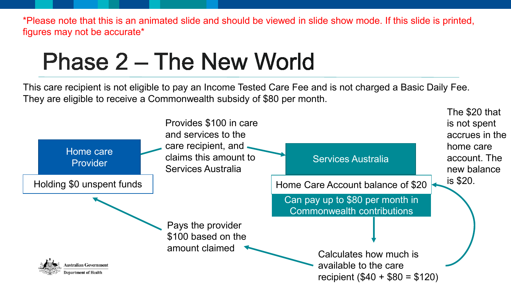figures may not be accurate\*

This care recipient is not eligible to pay an Income Tested Care Fee and is not charged a Basic Daily Fee. They are eligible to receive a Commonwealth subsidy of \$80 per month.

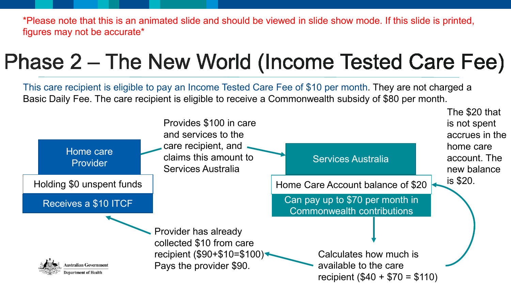\*Please note that this is an animated slide and should be viewed in slide show mode. If this slide is printed, figures may not be accurate\*

## Phase 2 – The New World (Income Tested Care Fee)

This care recipient is eligible to pay an Income Tested Care Fee of \$10 per month. They are not charged a Basic Daily Fee. The care recipient is eligible to receive a Commonwealth subsidy of \$80 per month.

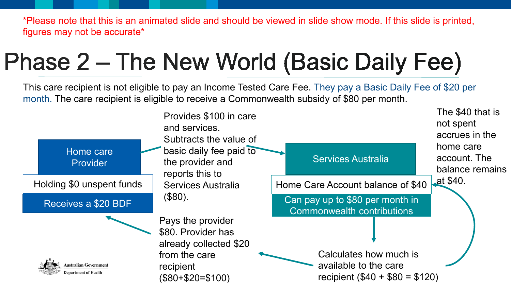\*Please note that this is an animated slide and should be viewed in slide show mode. If this slide is printed, figures may not be accurate\*

# Phase 2 – The New World (Basic Daily Fee)

This care recipient is not eligible to pay an Income Tested Care Fee. They pay a Basic Daily Fee of \$20 per month. The care recipient is eligible to receive a Commonwealth subsidy of \$80 per month.

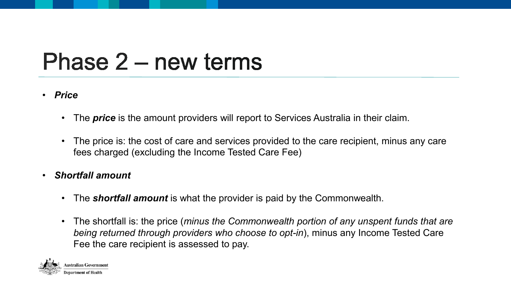# Phase 2 – new terms

#### • *Price*

- The *price* is the amount providers will report to Services Australia in their claim.
- The price is: the cost of care and services provided to the care recipient, minus any care fees charged (excluding the Income Tested Care Fee)
- *Shortfall amount* 
	- The *shortfall amount* is what the provider is paid by the Commonwealth.
	- The shortfall is: the price (*minus the Commonwealth portion of any unspent funds that are being returned through providers who choose to opt-in*), minus any Income Tested Care Fee the care recipient is assessed to pay.

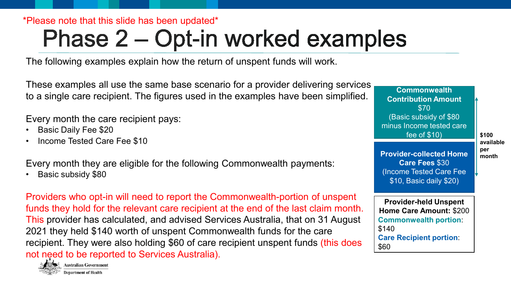\*Please note that this slide has been updated\*

# Phase 2 – Opt-in worked examples

The following examples explain how the return of unspent funds will work.

These examples all use the same base scenario for a provider delivering services to a single care recipient. The figures used in the examples have been simplified.

Every month the care recipient pays:

- Basic Daily Fee \$20
- Income Tested Care Fee \$10

Every month they are eligible for the following Commonwealth payments:

• Basic subsidy \$80

Providers who opt-in will need to report the Commonwealth-portion of unspent funds they hold for the relevant care recipient at the end of the last claim month. This provider has calculated, and advised Services Australia, that on 31 August 2021 they held \$140 worth of unspent Commonwealth funds for the care recipient. They were also holding \$60 of care recipient unspent funds (this does not need to be reported to Services Australia).



**Commonwealth Contribution Amount** \$70 (Basic subsidy of \$80 minus Income tested care fee of \$10)

#### **\$100 available per month**

**Provider-collected Home Care Fees** \$30 (Income Tested Care Fee \$10, Basic daily \$20)

**Provider-held Unspent Home Care Amount:** \$200 **Commonwealth portion**: \$140 **Care Recipient portion**: \$60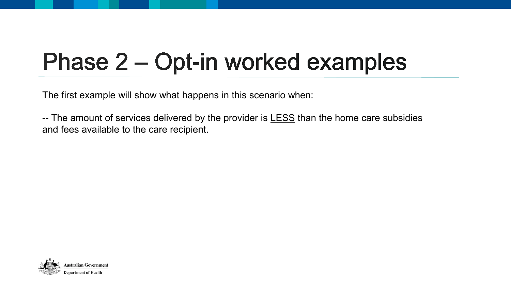# Phase 2 – Opt-in worked examples

The first example will show what happens in this scenario when:

-- The amount of services delivered by the provider is **LESS** than the home care subsidies and fees available to the care recipient.

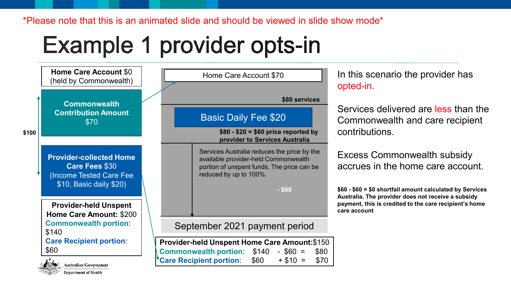\*Please note that this is an animated slide and should be viewed in slide show mode\*

# Example 1 provider opts-in

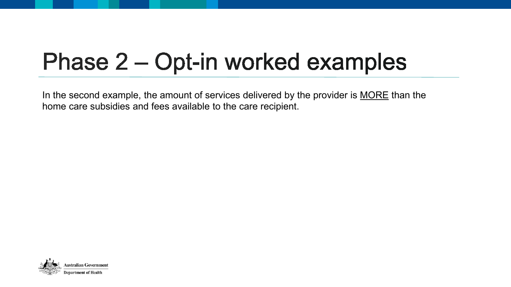# Phase 2 – Opt-in worked examples

In the second example, the amount of services delivered by the provider is MORE than the home care subsidies and fees available to the care recipient.

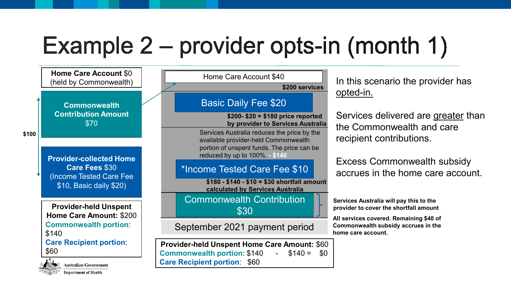# Example 2 – provider opts-in (month 1)

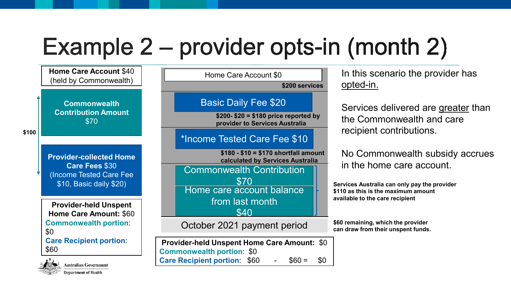# Example 2 – provider opts-in (month 2)





| ustralian Governm   |  |
|---------------------|--|
| enartment of Health |  |

|                                                                          | Home Care Account \$0                                                   |  |  |  |
|--------------------------------------------------------------------------|-------------------------------------------------------------------------|--|--|--|
|                                                                          | \$200 services                                                          |  |  |  |
|                                                                          | <b>Basic Daily Fee \$20</b>                                             |  |  |  |
|                                                                          | $$200 - $20 = $180$ price reported by<br>provider to Services Australia |  |  |  |
|                                                                          | *Income Tested Care Fee \$10                                            |  |  |  |
| $$180 - $10 = $170$ shortfall amount<br>calculated by Services Australia |                                                                         |  |  |  |
|                                                                          | <b>Commonwealth Contribution</b><br>\$70                                |  |  |  |
|                                                                          | Home care account balance                                               |  |  |  |
|                                                                          | from last month<br>\$40                                                 |  |  |  |
|                                                                          |                                                                         |  |  |  |
|                                                                          | October 2021 payment period                                             |  |  |  |
|                                                                          |                                                                         |  |  |  |

**Provider-held Unspent Home Care Amount: \$0 Commonwealth portion: \$0 Care Recipient portion:**  $$60 - $60 = $0$ 

In this scenario the provider has opted-in.

Services delivered are greater than the Commonwealth and care recipient contributions.

No Commonwealth subsidy accrues in the home care account.

**Services Australia can only pay the provider \$110 as this is the maximum amount available to the care recipient**

**\$60 remaining, which the provider can draw from their unspent funds.**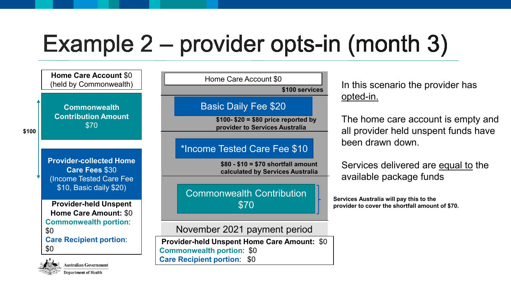# Example  $2$  – provider opts-in (month 3)



**Department of Health** 

In this scenario the provider has opted-in.

The home care account is empty and all provider held unspent funds have been drawn down.

Services delivered are equal to the available package funds

**Services Australia will pay this to the provider to cover the shortfall amount of \$70.**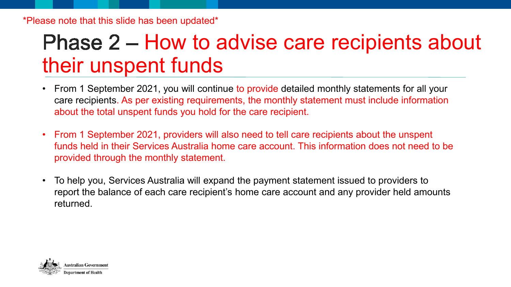### Phase 2 – How to advise care recipients about their unspent funds

- From 1 September 2021, you will continue to provide detailed monthly statements for all your care recipients. As per existing requirements, the monthly statement must include information about the total unspent funds you hold for the care recipient.
- From 1 September 2021, providers will also need to tell care recipients about the unspent funds held in their Services Australia home care account. This information does not need to be provided through the monthly statement.
- To help you, Services Australia will expand the payment statement issued to providers to report the balance of each care recipient's home care account and any provider held amounts returned.

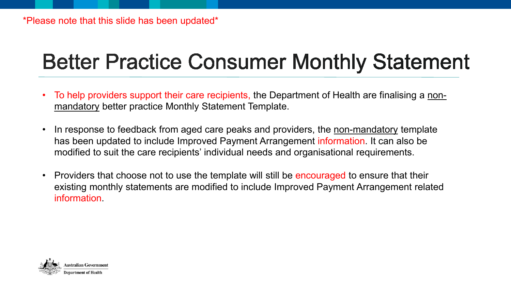## **Better Practice Consumer Monthly Statement**

- To help providers support their care recipients, the Department of Health are finalising a nonmandatory better practice Monthly Statement Template.
- In response to feedback from aged care peaks and providers, the non-mandatory template has been updated to include Improved Payment Arrangement information. It can also be modified to suit the care recipients' individual needs and organisational requirements.
- Providers that choose not to use the template will still be encouraged to ensure that their existing monthly statements are modified to include Improved Payment Arrangement related information.

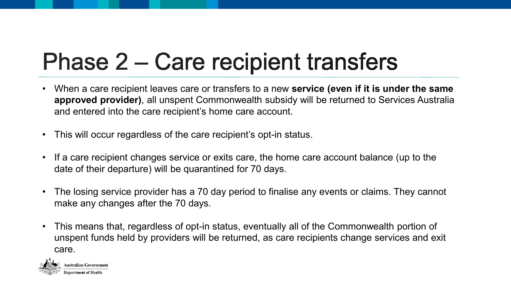# Phase 2 – Care recipient transfers

- When a care recipient leaves care or transfers to a new **service (even if it is under the same approved provider)**, all unspent Commonwealth subsidy will be returned to Services Australia and entered into the care recipient's home care account.
- This will occur regardless of the care recipient's opt-in status.
- If a care recipient changes service or exits care, the home care account balance (up to the date of their departure) will be quarantined for 70 days.
- The losing service provider has a 70 day period to finalise any events or claims. They cannot make any changes after the 70 days.
- This means that, regardless of opt-in status, eventually all of the Commonwealth portion of unspent funds held by providers will be returned, as care recipients change services and exit care.

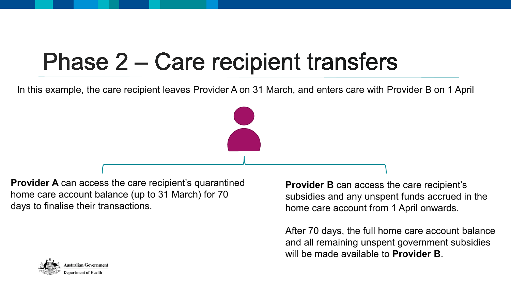# Phase 2 – Care recipient transfers

In this example, the care recipient leaves Provider A on 31 March, and enters care with Provider B on 1 April

**Provider A** can access the care recipient's quarantined home care account balance (up to 31 March) for 70 days to finalise their transactions.

**Provider B** can access the care recipient's subsidies and any unspent funds accrued in the home care account from 1 April onwards.

After 70 days, the full home care account balance and all remaining unspent government subsidies will be made available to **Provider B**.

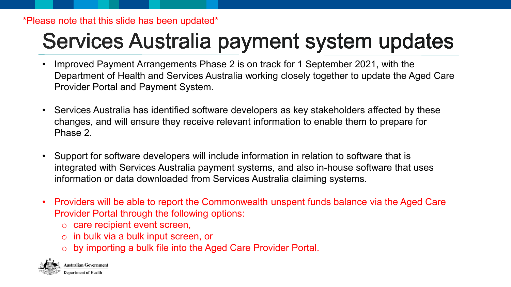#### \*Please note that this slide has been updated\*

### Services Australia payment system updates

- Improved Payment Arrangements Phase 2 is on track for 1 September 2021, with the Department of Health and Services Australia working closely together to update the Aged Care Provider Portal and Payment System.
- Services Australia has identified software developers as key stakeholders affected by these changes, and will ensure they receive relevant information to enable them to prepare for Phase 2.
- Support for software developers will include information in relation to software that is integrated with Services Australia payment systems, and also in-house software that uses information or data downloaded from Services Australia claiming systems.
- Providers will be able to report the Commonwealth unspent funds balance via the Aged Care Provider Portal through the following options:
	- o care recipient event screen,
	- o in bulk via a bulk input screen, or
	- o by importing a bulk file into the Aged Care Provider Portal.